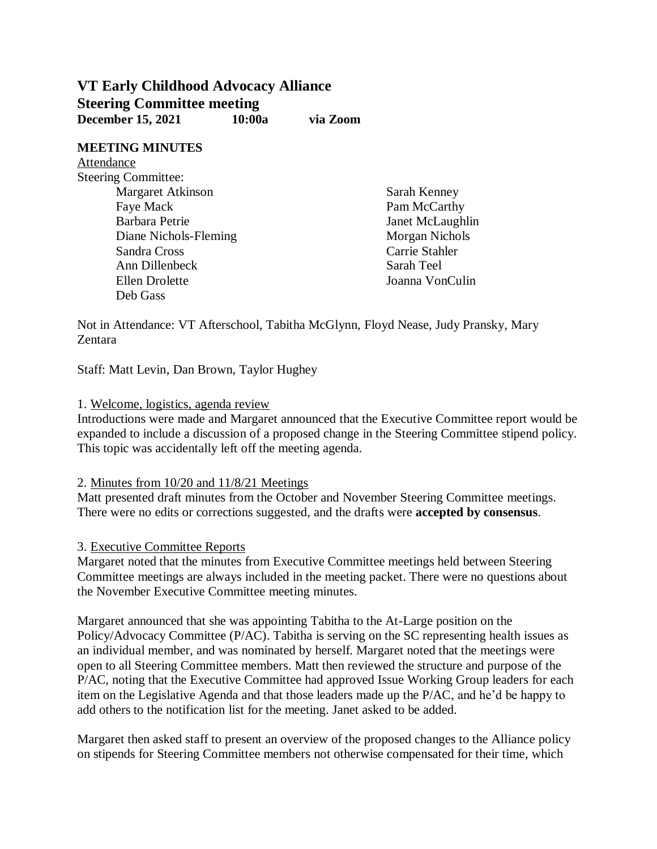# **VT Early Childhood Advocacy Alliance Steering Committee meeting December 15, 2021 10:00a via Zoom**

**MEETING MINUTES** Attendance Steering Committee:

Margaret Atkinson Faye Mack Barbara Petrie Diane Nichols-Fleming Sandra Cross Ann Dillenbeck Ellen Drolette Deb Gass

Sarah Kenney Pam McCarthy Janet McLaughlin Morgan Nichols Carrie Stahler Sarah Teel Joanna VonCulin

Not in Attendance: VT Afterschool, Tabitha McGlynn, Floyd Nease, Judy Pransky, Mary Zentara

Staff: Matt Levin, Dan Brown, Taylor Hughey

#### 1. Welcome, logistics, agenda review

Introductions were made and Margaret announced that the Executive Committee report would be expanded to include a discussion of a proposed change in the Steering Committee stipend policy. This topic was accidentally left off the meeting agenda.

## 2. Minutes from 10/20 and 11/8/21 Meetings

Matt presented draft minutes from the October and November Steering Committee meetings. There were no edits or corrections suggested, and the drafts were **accepted by consensus**.

## 3. Executive Committee Reports

Margaret noted that the minutes from Executive Committee meetings held between Steering Committee meetings are always included in the meeting packet. There were no questions about the November Executive Committee meeting minutes.

Margaret announced that she was appointing Tabitha to the At-Large position on the Policy/Advocacy Committee (P/AC). Tabitha is serving on the SC representing health issues as an individual member, and was nominated by herself. Margaret noted that the meetings were open to all Steering Committee members. Matt then reviewed the structure and purpose of the P/AC, noting that the Executive Committee had approved Issue Working Group leaders for each item on the Legislative Agenda and that those leaders made up the P/AC, and he'd be happy to add others to the notification list for the meeting. Janet asked to be added.

Margaret then asked staff to present an overview of the proposed changes to the Alliance policy on stipends for Steering Committee members not otherwise compensated for their time, which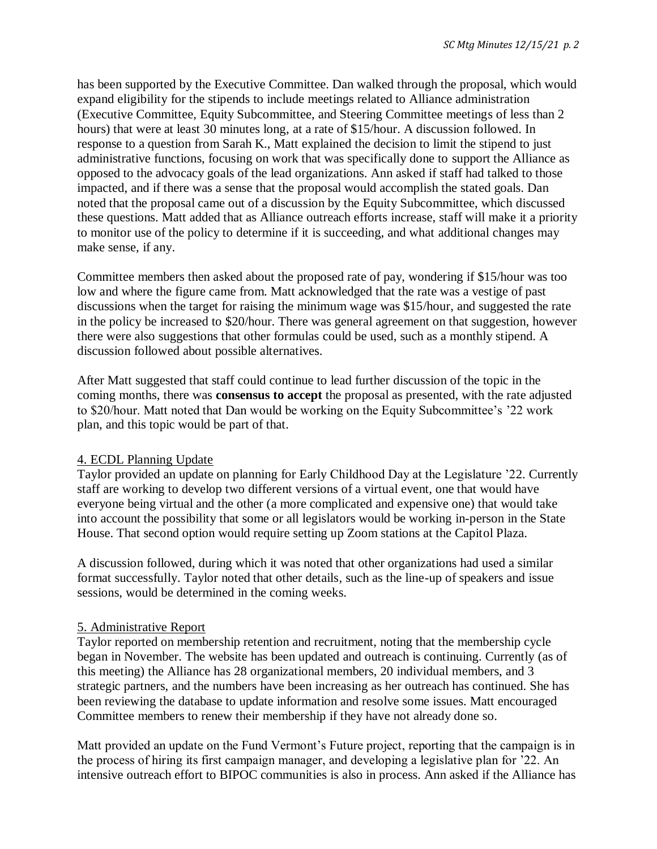has been supported by the Executive Committee. Dan walked through the proposal, which would expand eligibility for the stipends to include meetings related to Alliance administration (Executive Committee, Equity Subcommittee, and Steering Committee meetings of less than 2 hours) that were at least 30 minutes long, at a rate of \$15/hour. A discussion followed. In response to a question from Sarah K., Matt explained the decision to limit the stipend to just administrative functions, focusing on work that was specifically done to support the Alliance as opposed to the advocacy goals of the lead organizations. Ann asked if staff had talked to those impacted, and if there was a sense that the proposal would accomplish the stated goals. Dan noted that the proposal came out of a discussion by the Equity Subcommittee, which discussed these questions. Matt added that as Alliance outreach efforts increase, staff will make it a priority to monitor use of the policy to determine if it is succeeding, and what additional changes may make sense, if any.

Committee members then asked about the proposed rate of pay, wondering if \$15/hour was too low and where the figure came from. Matt acknowledged that the rate was a vestige of past discussions when the target for raising the minimum wage was \$15/hour, and suggested the rate in the policy be increased to \$20/hour. There was general agreement on that suggestion, however there were also suggestions that other formulas could be used, such as a monthly stipend. A discussion followed about possible alternatives.

After Matt suggested that staff could continue to lead further discussion of the topic in the coming months, there was **consensus to accept** the proposal as presented, with the rate adjusted to \$20/hour. Matt noted that Dan would be working on the Equity Subcommittee's '22 work plan, and this topic would be part of that.

## 4. ECDL Planning Update

Taylor provided an update on planning for Early Childhood Day at the Legislature '22. Currently staff are working to develop two different versions of a virtual event, one that would have everyone being virtual and the other (a more complicated and expensive one) that would take into account the possibility that some or all legislators would be working in-person in the State House. That second option would require setting up Zoom stations at the Capitol Plaza.

A discussion followed, during which it was noted that other organizations had used a similar format successfully. Taylor noted that other details, such as the line-up of speakers and issue sessions, would be determined in the coming weeks.

## 5. Administrative Report

Taylor reported on membership retention and recruitment, noting that the membership cycle began in November. The website has been updated and outreach is continuing. Currently (as of this meeting) the Alliance has 28 organizational members, 20 individual members, and 3 strategic partners, and the numbers have been increasing as her outreach has continued. She has been reviewing the database to update information and resolve some issues. Matt encouraged Committee members to renew their membership if they have not already done so.

Matt provided an update on the Fund Vermont's Future project, reporting that the campaign is in the process of hiring its first campaign manager, and developing a legislative plan for '22. An intensive outreach effort to BIPOC communities is also in process. Ann asked if the Alliance has